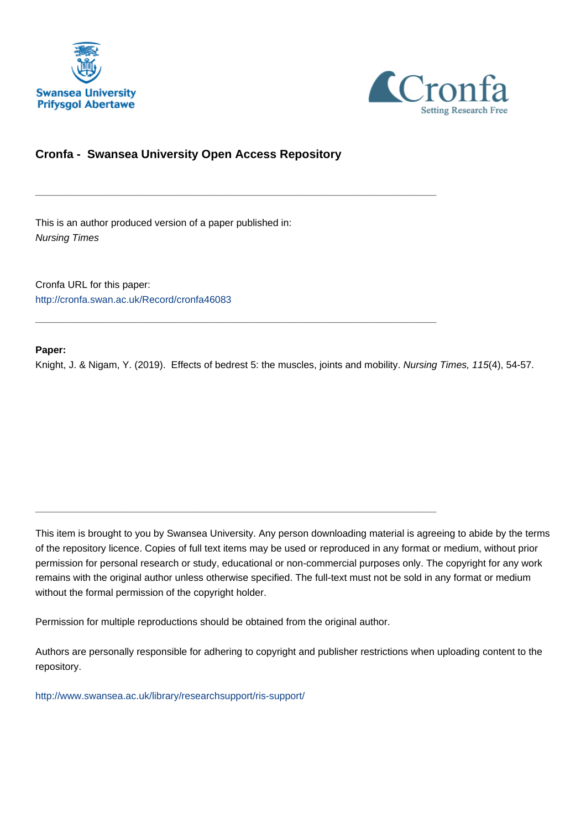



# **Cronfa - Swansea University Open Access Repository**

\_\_\_\_\_\_\_\_\_\_\_\_\_\_\_\_\_\_\_\_\_\_\_\_\_\_\_\_\_\_\_\_\_\_\_\_\_\_\_\_\_\_\_\_\_\_\_\_\_\_\_\_\_\_\_\_\_\_\_\_\_

\_\_\_\_\_\_\_\_\_\_\_\_\_\_\_\_\_\_\_\_\_\_\_\_\_\_\_\_\_\_\_\_\_\_\_\_\_\_\_\_\_\_\_\_\_\_\_\_\_\_\_\_\_\_\_\_\_\_\_\_\_

 $\_$  , and the set of the set of the set of the set of the set of the set of the set of the set of the set of the set of the set of the set of the set of the set of the set of the set of the set of the set of the set of th

This is an author produced version of a paper published in: Nursing Times

Cronfa URL for this paper: <http://cronfa.swan.ac.uk/Record/cronfa46083>

# **Paper:**

Knight, J. & Nigam, Y. (2019). Effects of bedrest 5: the muscles, joints and mobility. Nursing Times, 115(4), 54-57.

This item is brought to you by Swansea University. Any person downloading material is agreeing to abide by the terms of the repository licence. Copies of full text items may be used or reproduced in any format or medium, without prior permission for personal research or study, educational or non-commercial purposes only. The copyright for any work remains with the original author unless otherwise specified. The full-text must not be sold in any format or medium without the formal permission of the copyright holder.

Permission for multiple reproductions should be obtained from the original author.

Authors are personally responsible for adhering to copyright and publisher restrictions when uploading content to the repository.

[http://www.swansea.ac.uk/library/researchsupport/ris-support/](http://www.swansea.ac.uk/library/researchsupport/ris-support/ )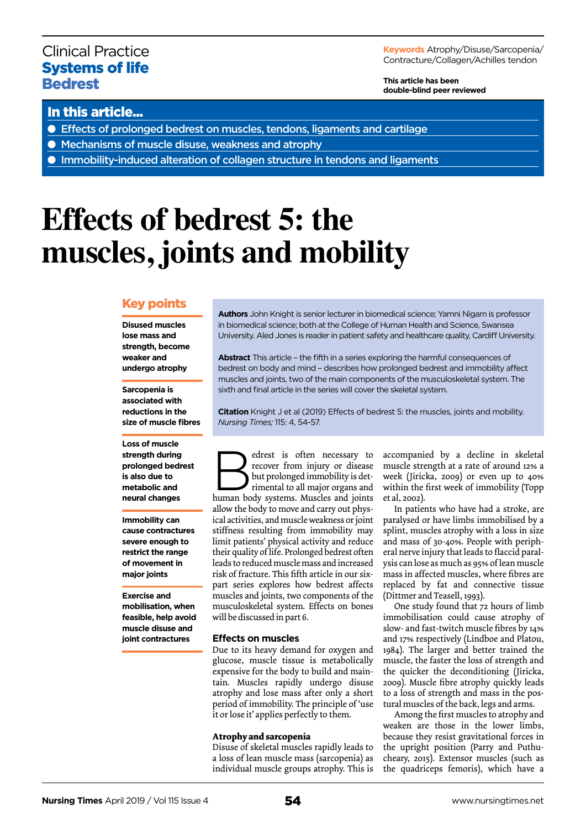# Clinical Practice Systems of life Bedrest

**Keywords** Atrophy/Disuse/Sarcopenia/ Contracture/Collagen/Achilles tendon

**This article has been double-blind peer reviewed**

# In this article...

- Effects of prolonged bedrest on muscles, tendons, ligaments and cartilage
- Mechanisms of muscle disuse, weakness and atrophy
- Immobility-induced alteration of collagen structure in tendons and ligaments

# **Effects of bedrest 5: the muscles, joints and mobility**

# Key points

**Disused muscles lose mass and strength, become weaker and undergo atrophy** 

**Sarcopenia is associated with reductions in the size of muscle fibres**

**Loss of muscle strength during prolonged bedrest is also due to metabolic and neural changes** 

**Immobility can cause contractures severe enough to restrict the range of movement in major joints** 

**Exercise and mobilisation, when feasible, help avoid muscle disuse and joint contractures**

**Authors** John Knight is senior lecturer in biomedical science; Yamni Nigam is professor in biomedical science; both at the College of Human Health and Science, Swansea University. Aled Jones is reader in patient safety and healthcare quality, Cardiff University.

**Abstract** This article – the fifth in a series exploring the harmful consequences of bedrest on body and mind – describes how prolonged bedrest and immobility affect muscles and joints, two of the main components of the musculoskeletal system. The sixth and final article in the series will cover the skeletal system.

**Citation** Knight J et al (2019) Effects of bedrest 5: the muscles, joints and mobility. *Nursing Times;* 115: 4, 54-57.

External is often necessary to<br>recover from injury or disease<br>but prolonged immobility is det-<br>rimental to all major organs and<br>human body systems. Muscles and joints recover from injury or disease but prolonged immobility is detrimental to all major organs and human body systems. Muscles and joints allow the body to move and carry out physical activities, and muscle weakness or joint stiffness resulting from immobility may limit patients' physical activity and reduce their quality of life. Prolonged bedrest often leads to reduced muscle mass and increased risk of fracture. This fifth article in our sixpart series explores how bedrest affects muscles and joints, two components of the musculoskeletal system. Effects on bones will be discussed in part 6.

# **Effects on muscles**

Due to its heavy demand for oxygen and glucose, muscle tissue is metabolically expensive for the body to build and maintain. Muscles rapidly undergo disuse atrophy and lose mass after only a short period of immobility. The principle of 'use it or lose it' applies perfectly to them.

# **Atrophy and sarcopenia**

Disuse of skeletal muscles rapidly leads to a loss of lean muscle mass (sarcopenia) as individual muscle groups atrophy. This is accompanied by a decline in skeletal muscle strength at a rate of around 12% a week (Jiricka, 2009) or even up to 40% within the first week of immobility (Topp et al, 2002).

In patients who have had a stroke, are paralysed or have limbs immobilised by a splint, muscles atrophy with a loss in size and mass of 30-40%. People with peripheral nerve injury that leads to flaccid paralysis can lose as much as 95% of lean muscle mass in affected muscles, where fibres are replaced by fat and connective tissue (Dittmer and Teasell, 1993).

One study found that 72 hours of limb immobilisation could cause atrophy of slow- and fast-twitch muscle fibres by 14% and 17% respectively (Lindboe and Platou, 1984). The larger and better trained the muscle, the faster the loss of strength and the quicker the deconditioning (Jiricka, 2009). Muscle fibre atrophy quickly leads to a loss of strength and mass in the postural muscles of the back, legs and arms.

Among the first muscles to atrophy and weaken are those in the lower limbs, because they resist gravitational forces in the upright position (Parry and Puthucheary, 2015). Extensor muscles (such as the quadriceps femoris), which have a

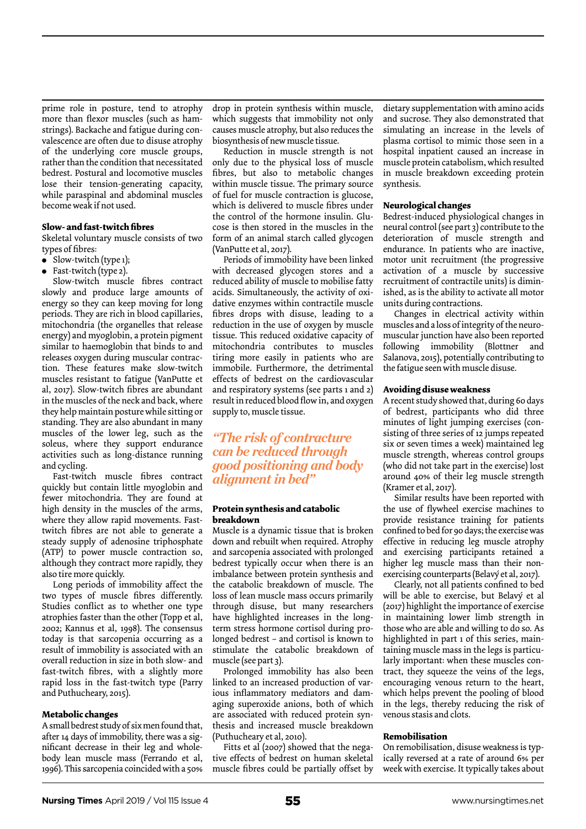prime role in posture, tend to atrophy more than flexor muscles (such as hamstrings). Backache and fatigue during convalescence are often due to disuse atrophy of the underlying core muscle groups, rather than the condition that necessitated bedrest. Postural and locomotive muscles lose their tension-generating capacity, while paraspinal and abdominal muscles become weak if not used.

## **Slow- and fast-twitch fibres**

Skeletal voluntary muscle consists of two types of fibres:

- $\bullet$  Slow-twitch (type 1);
- $\bullet$  Fast-twitch (type 2).

Slow-twitch muscle fibres contract slowly and produce large amounts of energy so they can keep moving for long periods. They are rich in blood capillaries, mitochondria (the organelles that release energy) and myoglobin, a protein pigment similar to haemoglobin that binds to and releases oxygen during muscular contraction. These features make slow-twitch muscles resistant to fatigue (VanPutte et al, 2017). Slow-twitch fibres are abundant in the muscles of the neck and back, where they help maintain posture while sitting or standing. They are also abundant in many muscles of the lower leg, such as the soleus, where they support endurance activities such as long-distance running and cycling.

Fast-twitch muscle fibres contract quickly but contain little myoglobin and fewer mitochondria. They are found at high density in the muscles of the arms, where they allow rapid movements. Fasttwitch fibres are not able to generate a steady supply of adenosine triphosphate (ATP) to power muscle contraction so, although they contract more rapidly, they also tire more quickly.

Long periods of immobility affect the two types of muscle fibres differently. Studies conflict as to whether one type atrophies faster than the other (Topp et al, 2002; Kannus et al, 1998). The consensus today is that sarcopenia occurring as a result of immobility is associated with an overall reduction in size in both slow- and fast-twitch fibres, with a slightly more rapid loss in the fast-twitch type (Parry and Puthucheary, 2015).

# **Metabolic changes**

A small bedrest study of six men found that, after 14 days of immobility, there was a significant decrease in their leg and wholebody lean muscle mass (Ferrando et al, 1996). This sarcopenia coincided with a 50%

drop in protein synthesis within muscle, which suggests that immobility not only causes muscle atrophy, but also reduces the biosynthesis of new muscle tissue.

Reduction in muscle strength is not only due to the physical loss of muscle fibres, but also to metabolic changes within muscle tissue. The primary source of fuel for muscle contraction is glucose, which is delivered to muscle fibres under the control of the hormone insulin. Glucose is then stored in the muscles in the form of an animal starch called glycogen (VanPutte et al, 2017).

Periods of immobility have been linked with decreased glycogen stores and a reduced ability of muscle to mobilise fatty acids. Simultaneously, the activity of oxidative enzymes within contractile muscle fibres drops with disuse, leading to a reduction in the use of oxygen by muscle tissue. This reduced oxidative capacity of mitochondria contributes to muscles tiring more easily in patients who are immobile. Furthermore, the detrimental effects of bedrest on the cardiovascular and respiratory systems (see parts 1 and 2) result in reduced blood flow in, and oxygen supply to, muscle tissue.

# *"The risk of contracture can be reduced through good positioning and body alignment in bed"*

## **Protein synthesis and catabolic breakdown**

Muscle is a dynamic tissue that is broken down and rebuilt when required. Atrophy and sarcopenia associated with prolonged bedrest typically occur when there is an imbalance between protein synthesis and the catabolic breakdown of muscle. The loss of lean muscle mass occurs primarily through disuse, but many researchers have highlighted increases in the longterm stress hormone cortisol during prolonged bedrest – and cortisol is known to stimulate the catabolic breakdown of muscle (see part 3).

Prolonged immobility has also been linked to an increased production of various inflammatory mediators and damaging superoxide anions, both of which are associated with reduced protein synthesis and increased muscle breakdown (Puthucheary et al, 2010).

Fitts et al (2007) showed that the negative effects of bedrest on human skeletal muscle fibres could be partially offset by dietary supplementation with amino acids and sucrose. They also demonstrated that simulating an increase in the levels of plasma cortisol to mimic those seen in a hospital inpatient caused an increase in muscle protein catabolism, which resulted in muscle breakdown exceeding protein synthesis.

#### **Neurological changes**

Bedrest-induced physiological changes in neural control (see part 3) contribute to the deterioration of muscle strength and endurance. In patients who are inactive, motor unit recruitment (the progressive activation of a muscle by successive recruitment of contractile units) is diminished, as is the ability to activate all motor units during contractions.

Changes in electrical activity within muscles and a loss of integrity of the neuromuscular junction have also been reported following immobility (Blottner and Salanova, 2015), potentially contributing to the fatigue seen with muscle disuse.

# **Avoiding disuse weakness**

A recent study showed that, during 60 days of bedrest, participants who did three minutes of light jumping exercises (consisting of three series of 12 jumps repeated six or seven times a week) maintained leg muscle strength, whereas control groups (who did not take part in the exercise) lost around 40% of their leg muscle strength (Kramer et al, 2017).

Similar results have been reported with the use of flywheel exercise machines to provide resistance training for patients confined to bed for 90 days; the exercise was effective in reducing leg muscle atrophy and exercising participants retained a higher leg muscle mass than their nonexercising counterparts (Belavý et al, 2017).

Clearly, not all patients confined to bed will be able to exercise, but Belavý et al (2017) highlight the importance of exercise in maintaining lower limb strength in those who are able and willing to do so. As highlighted in part 1 of this series, maintaining muscle mass in the legs is particularly important: when these muscles contract, they squeeze the veins of the legs, encouraging venous return to the heart, which helps prevent the pooling of blood in the legs, thereby reducing the risk of venous stasis and clots.

## **Remobilisation**

On remobilisation, disuse weakness is typically reversed at a rate of around 6% per week with exercise. It typically takes about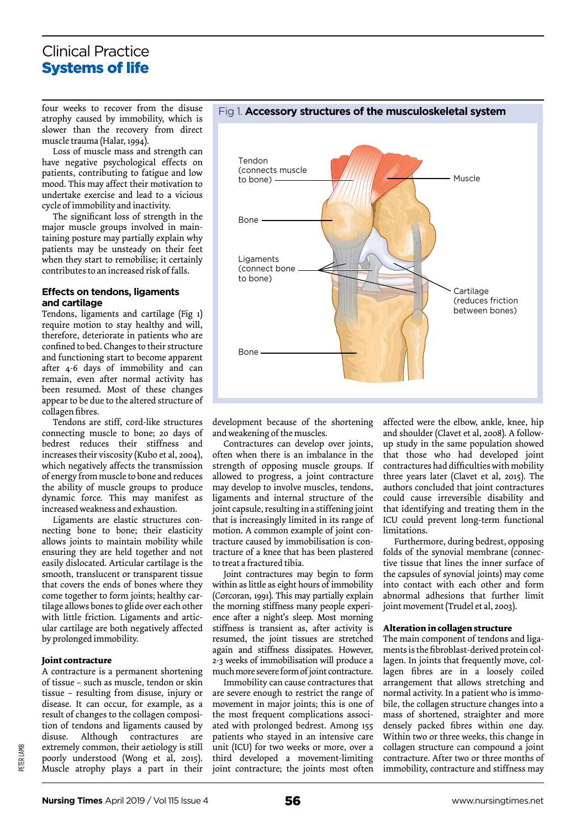# Clinical Practice Systems of life

four weeks to recover from the disuse atrophy caused by immobility, which is slower than the recovery from direct muscle trauma (Halar, 1994).

Loss of muscle mass and strength can have negative psychological effects on patients, contributing to fatigue and low mood. This may affect their motivation to undertake exercise and lead to a vicious cycle of immobility and inactivity.

The significant loss of strength in the major muscle groups involved in maintaining posture may partially explain why patients may be unsteady on their feet when they start to remobilise; it certainly contributes to an increased risk of falls.

# **Effects on tendons, ligaments and cartilage**

Tendons, ligaments and cartilage (Fig 1) require motion to stay healthy and will, therefore, deteriorate in patients who are confined to bed. Changes to their structure and functioning start to become apparent after 4-6 days of immobility and can remain, even after normal activity has been resumed. Most of these changes appear to be due to the altered structure of collagen fibres.

Tendons are stiff, cord-like structures connecting muscle to bone; 20 days of bedrest reduces their stiffness and increases their viscosity (Kubo et al, 2004), which negatively affects the transmission of energy from muscle to bone and reduces the ability of muscle groups to produce dynamic force. This may manifest as increased weakness and exhaustion.

Ligaments are elastic structures connecting bone to bone; their elasticity allows joints to maintain mobility while ensuring they are held together and not easily dislocated. Articular cartilage is the smooth, translucent or transparent tissue that covers the ends of bones where they come together to form joints; healthy cartilage allows bones to glide over each other with little friction. Ligaments and articular cartilage are both negatively affected by prolonged immobility.

# **Joint contracture**

A contracture is a permanent shortening of tissue – such as muscle, tendon or skin tissue – resulting from disuse, injury or disease. It can occur, for example, as a result of changes to the collagen composition of tendons and ligaments caused by disuse. Although contractures are extremely common, their aetiology is still poorly understood (Wong et al, 2015). Muscle atrophy plays a part in their



Fig 1. **Accessory structures of the musculoskeletal system**

development because of the shortening and weakening of the muscles.

Contractures can develop over joints, often when there is an imbalance in the strength of opposing muscle groups. If allowed to progress, a joint contracture may develop to involve muscles, tendons, ligaments and internal structure of the joint capsule, resulting in a stiffening joint that is increasingly limited in its range of motion. A common example of joint contracture caused by immobilisation is contracture of a knee that has been plastered to treat a fractured tibia.

Joint contractures may begin to form within as little as eight hours of immobility (Corcoran, 1991). This may partially explain the morning stiffness many people experience after a night's sleep. Most morning stiffness is transient as, after activity is resumed, the joint tissues are stretched again and stiffness dissipates. However, 2-3 weeks of immobilisation will produce a much more severe form of joint contracture.

Immobility can cause contractures that are severe enough to restrict the range of movement in major joints; this is one of the most frequent complications associated with prolonged bedrest. Among 155 patients who stayed in an intensive care unit (ICU) for two weeks or more, over a third developed a movement-limiting joint contracture; the joints most often affected were the elbow, ankle, knee, hip and shoulder (Clavet et al, 2008). A followup study in the same population showed that those who had developed joint contractures had difficulties with mobility three years later (Clavet et al, 2015). The authors concluded that joint contractures could cause irreversible disability and that identifying and treating them in the ICU could prevent long-term functional limitations.

Furthermore, during bedrest, opposing folds of the synovial membrane (connective tissue that lines the inner surface of the capsules of synovial joints) may come into contact with each other and form abnormal adhesions that further limit joint movement (Trudel et al, 2003).

# **Alteration in collagen structure**

The main component of tendons and ligaments is the fibroblast-derived protein collagen. In joints that frequently move, collagen fibres are in a loosely coiled arrangement that allows stretching and normal activity. In a patient who is immobile, the collagen structure changes into a mass of shortened, straighter and more densely packed fibres within one day. Within two or three weeks, this change in collagen structure can compound a joint contracture. After two or three months of immobility, contracture and stiffness may